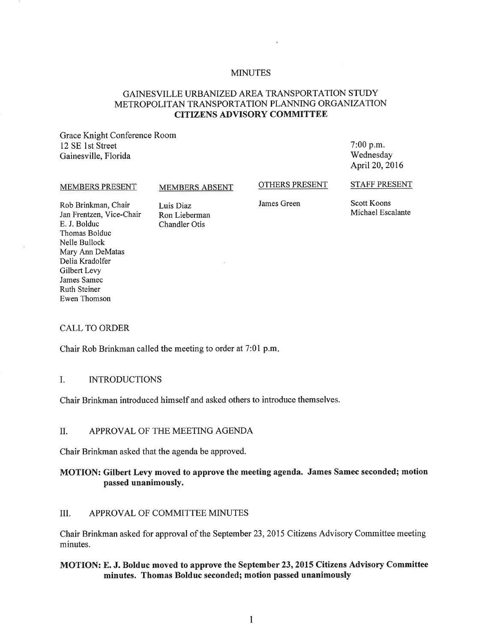### **MINUTES**

# GAINESVILLE URBANIZED AREA TRANSPORTATION STUDY METROPOLITAN TRANSPORTATION PLANNING ORGANIZATION CITIZENS ADVISORY COMMITTEE

Grace Knight Conference Room 12 SE 1st Street Gainesville, Florida

7:00 p.m. Wednesday April 20, 2016

#### MEMBERS PRESENT

#### MEMBERS ABSENT

OTHERS PRESENT

STAFF PRESENT

Rob Brinkman, Chair Jan Frentzen, Vice-Chair E. J. Bolduc Thomas Bolduc Nelle Bullock Mary Ann DeMatas Delia Kradolfer Gilbert Levy James Samec Ruth Steiner Ewen Thomson

Luis Diaz Ron Lieberman Chandler Otis

James Green

Scott Koons Michael Escalante

#### CALL TO ORDER

Chair Rob Brinkman called the meeting to order at 7:01 p.m.

### I. INTRODUCTIONS

Chair Brinkman introduced himself and asked others to introduce themselves.

#### II. APPROVAL OF THE MEETING AGENDA

Chair Brinkman asked that the agenda be approved.

# MOTION: Gilbert Levy moved to approve the meeting agenda. James Samec seconded; motion passed unanimously.

#### III. APPROVAL OF COMMITTEE MINUTES

Chair Brinkman asked for approval of the September 23, 2015 Citizens Advisory Committee meeting minutes.

### MOTION: E. J. Bolduc moved to approve the September 23, 2015 Citizens Advisory Committee minutes. Thomas Bolduc seconded; motion passed unanimously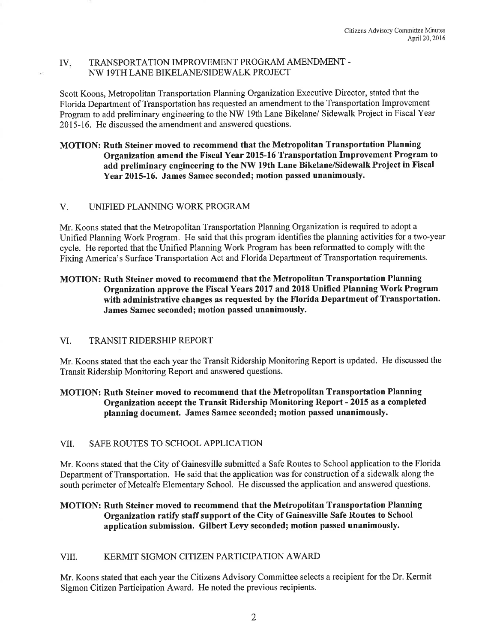## IV. TRANSPORTATION IMPROVEMENT PROGRAM AMENDMENT-NW 19TH LANE BIKELANE/SIDEW ALK PROJECT

Scott Koons, Metropolitan Transportation Planning Organization Executive Director, stated that the Florida Department of Transportation has requested an amendment to the Transportation Improvement Program to add preliminary engineering to the NW 19th Lane Bikelane/ Sidewalk Project in Fiscal Year 2015-16. He discussed the amendment and answered questions.

# MOTION: Ruth Steiner moved to recommend that the Metropolitan Transportation Planning Organization amend the Fiscal Year 2015-16 Transportation Improvement Program to add preliminary engineering to the NW 19th Lane Bikelane/Sidewalk Project in Fiscal Year 2015-16. James Samec seconded; motion passed unanimously.

# V. UNIFIED PLANNING WORK PROGRAM

Mr. Koons stated that the Metropolitan Transportation Planning Organization is required to adopt a Unified Planning Work Program. He said that this program identifies the planning activities for a two-year cycle. He reported that the Unified Planning Work Program has been reformatted to comply with the Fixing America's Surface Transportation Act and Florida Department of Transportation requirements.

# MOTION: Ruth Steiner moved to recommend that the Metropolitan Transportation Planning Organization approve the Fiscal Years 2017 and 2018 Unified Planning Work Program with administrative changes as requested by the Florida Department of Transportation. James Samec seconded; motion passed unanimously.

# VI. TRANSIT RIDERSHIP REPORT

Mr. Koons stated that the each year the Transit Ridership Monitoring Report is updated. He discussed the Transit Ridership Monitoring Report and answered questions.

# MOTION: Ruth Steiner moved to recommend that the Metropolitan Transportation Planning Organization accept the Transit Ridership Monitoring Report - 2015 as a completed <sup>p</sup>lanning document. James Samec seconded; motion passed unanimously.

# VII. SAFE ROUTES TO SCHOOL APPLICATION

Mr. Koons stated that the City of Gainesville submitted a Safe Routes to School application to the Florida Department of Transportation. He said that the application was for construction of a sidewalk along the south perimeter of Metcalfe Elementary School. He discussed the application and answered questions.

# MOTION: Ruth Steiner moved to recommend that the Metropolitan Transportation Planning Organization ratify staff support of the City of Gainesville Safe Routes to School application submission. Gilbert Levy seconded; motion passed unanimously.

# VIII. KERMIT SIGMON CITIZEN PARTICIPATION AWARD

Mr. Koons stated that each year the Citizens Advisory Committee selects a recipient for the Dr. Kermit Sigmon Citizen Participation Award. He noted the previous recipients.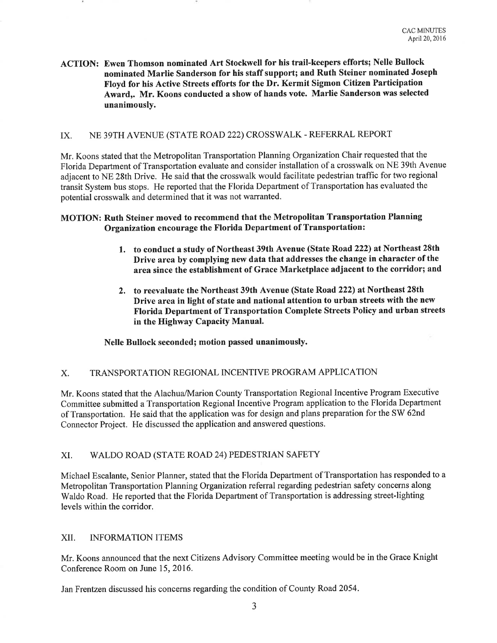ACTION: Ewen Thomson nominated Art Stockwell for his trail-keepers efforts; Nelle Bullock nominated Marlie Sanderson for his staff support; and Ruth Steiner nominated Joseph Floyd for his Active Streets efforts for the Dr. Kermit Sigmon Citizen Participation Award,. Mr. Koons conducted a show of hands vote. Marlie Sanderson was selected unanimously.

# IX. NE 39TH AVENUE (STATE ROAD 222) CROSSWALK-REFERRAL REPORT

Mr. Koons stated that the Metropolitan Transportation Planning Organization Chair requested that the Florida Department of Transportation evaluate and consider installation of a crosswalk on NE 39th Avenue adjacent to NE 28th Drive. He said that the crosswalk would facilitate pedestrian traffic for two regional transit System bus stops. He reported that the Florida Department of Transportation has evaluated the potential crosswalk and determined that it was not warranted.

## MOTION: Ruth Steiner moved to recommend that the Metropolitan Transportation Planning Organization encourage the Florida Department of Transportation:

- 1. to conduct a study of Northeast 39th Avenue (State Road 222) at Northeast 28th Drive area by complying new data that addresses the change in character of the area since the establishment of Grace Marketplace adjacent to the corridor; and
- 2. to reevaluate the Northeast 39th Avenue (State Road 222) at Northeast 28th Drive area in light of state and national attention to urban streets with the new Florida Department of Transportation Complete Streets Policy and urban streets in the Highway Capacity Manual.

Nelle Bullock seconded; motion passed unanimously.

## X. TRANSPORTATION REGIONAL INCENTIVE PROGRAM APPLICATION

Mr. Koons stated that the Alachua/Marion County Transportation Regional Incentive Program Executive Committee submitted a Transportation Regional Incentive Program application to the Florida Department of Transportation. He said that the application was for design and plans preparation for the SW 62nd Connector Project. He discussed the application and answered questions.

## XI. WALDO ROAD (STATE ROAD 24) PEDESTRIAN SAFETY

Michael Escalante, Senior Planner, stated that the Florida Department of Transportation has responded to a Metropolitan Transportation Planning Organization referral regarding pedestrian safety concerns along Waldo Road. He reported that the Florida Department of Transportation is addressing street-lighting levels within the corridor.

## XII. INFORMATION ITEMS

Mr. Koons announced that the next Citizens Advisory Committee meeting would be in the Grace Knight Conference Room on June 15, 2016.

Jan Frentzen discussed his concerns regarding the condition of County Road 2054.